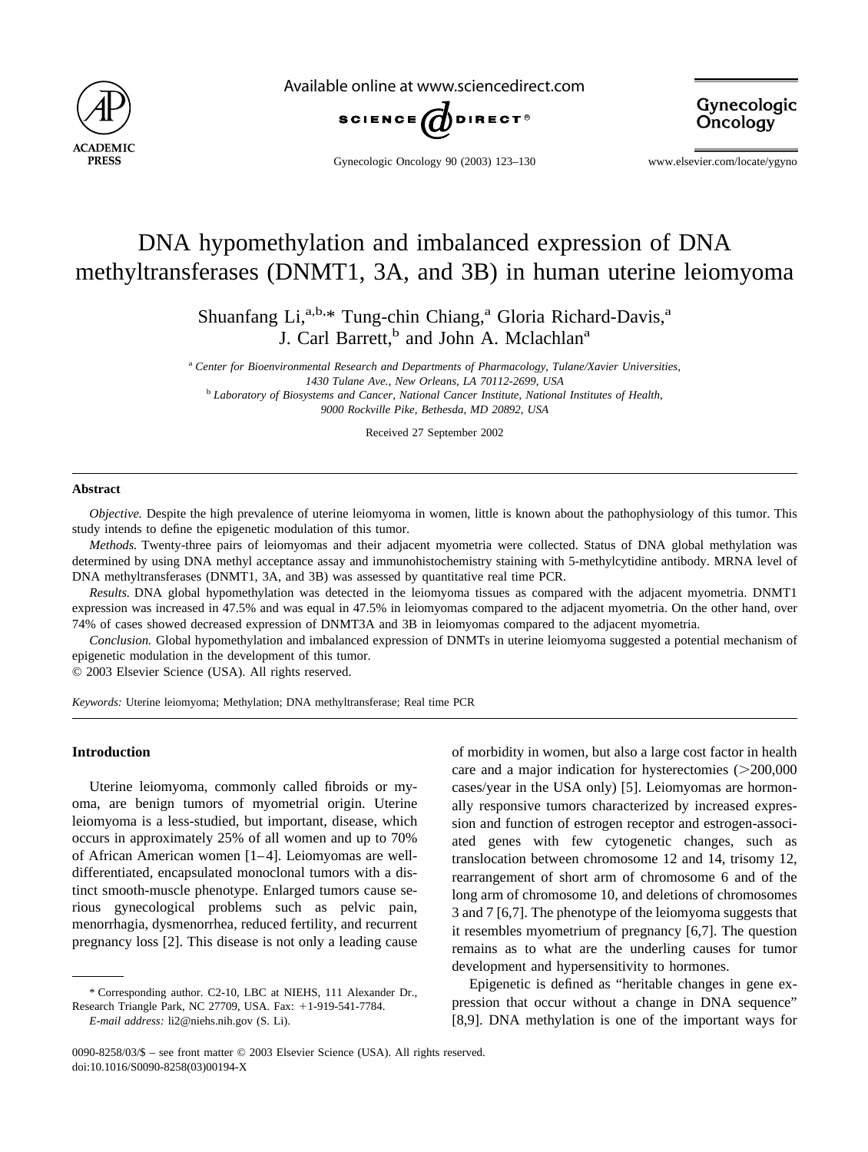

Available online at www.sciencedirect.com



Gynecologic Oncology

Gynecologic Oncology 90 (2003) 123–130 www.elsevier.com/locate/ygyno

# DNA hypomethylation and imbalanced expression of DNA methyltransferases (DNMT1, 3A, and 3B) in human uterine leiomyoma

Shuanfang Li, $a,b,*$  Tung-chin Chiang,<sup>a</sup> Gloria Richard-Davis,<sup>a</sup> J. Carl Barrett,<sup>b</sup> and John A. Mclachlan<sup>a</sup>

<sup>a</sup> *Center for Bioenvironmental Research and Departments of Pharmacology, Tulane/Xavier Universities, 1430 Tulane Ave., New Orleans, LA 70112-2699, USA* <sup>b</sup> *Laboratory of Biosystems and Cancer, National Cancer Institute, National Institutes of Health, 9000 Rockville Pike, Bethesda, MD 20892, USA*

Received 27 September 2002

#### **Abstract**

*Objective.* Despite the high prevalence of uterine leiomyoma in women, little is known about the pathophysiology of this tumor. This study intends to define the epigenetic modulation of this tumor.

*Methods.* Twenty-three pairs of leiomyomas and their adjacent myometria were collected. Status of DNA global methylation was determined by using DNA methyl acceptance assay and immunohistochemistry staining with 5-methylcytidine antibody. MRNA level of DNA methyltransferases (DNMT1, 3A, and 3B) was assessed by quantitative real time PCR.

*Results.* DNA global hypomethylation was detected in the leiomyoma tissues as compared with the adjacent myometria. DNMT1 expression was increased in 47.5% and was equal in 47.5% in leiomyomas compared to the adjacent myometria. On the other hand, over 74% of cases showed decreased expression of DNMT3A and 3B in leiomyomas compared to the adjacent myometria.

*Conclusion.* Global hypomethylation and imbalanced expression of DNMTs in uterine leiomyoma suggested a potential mechanism of epigenetic modulation in the development of this tumor.

© 2003 Elsevier Science (USA). All rights reserved.

*Keywords:* Uterine leiomyoma; Methylation; DNA methyltransferase; Real time PCR

## **Introduction**

Uterine leiomyoma, commonly called fibroids or myoma, are benign tumors of myometrial origin. Uterine leiomyoma is a less-studied, but important, disease, which occurs in approximately 25% of all women and up to 70% of African American women [\[1–4\]](#page-6-0). Leiomyomas are welldifferentiated, encapsulated monoclonal tumors with a distinct smooth-muscle phenotype. Enlarged tumors cause serious gynecological problems such as pelvic pain, menorrhagia, dysmenorrhea, reduced fertility, and recurrent pregnancy loss [\[2\].](#page-6-0) This disease is not only a leading cause

\* Corresponding author. C2-10, LBC at NIEHS, 111 Alexander Dr., Research Triangle Park, NC 27709, USA. Fax: +1-919-541-7784.

*E-mail address:* li2@niehs.nih.gov (S. Li).

of morbidity in women, but also a large cost factor in health care and a major indication for hysterectomies  $(>=200,000$ cases/year in the USA only) [\[5\].](#page-6-0) Leiomyomas are hormonally responsive tumors characterized by increased expression and function of estrogen receptor and estrogen-associated genes with few cytogenetic changes, such as translocation between chromosome 12 and 14, trisomy 12, rearrangement of short arm of chromosome 6 and of the long arm of chromosome 10, and deletions of chromosomes 3 and 7 [\[6,7\]](#page-6-0). The phenotype of the leiomyoma suggests that it resembles myometrium of pregnancy [\[6,7\]](#page-6-0). The question remains as to what are the underling causes for tumor development and hypersensitivity to hormones.

Epigenetic is defined as "heritable changes in gene expression that occur without a change in DNA sequence" [\[8,9\]](#page-6-0). DNA methylation is one of the important ways for

<sup>0090-8258/03/\$ –</sup> see front matter © 2003 Elsevier Science (USA). All rights reserved. doi:10.1016/S0090-8258(03)00194-X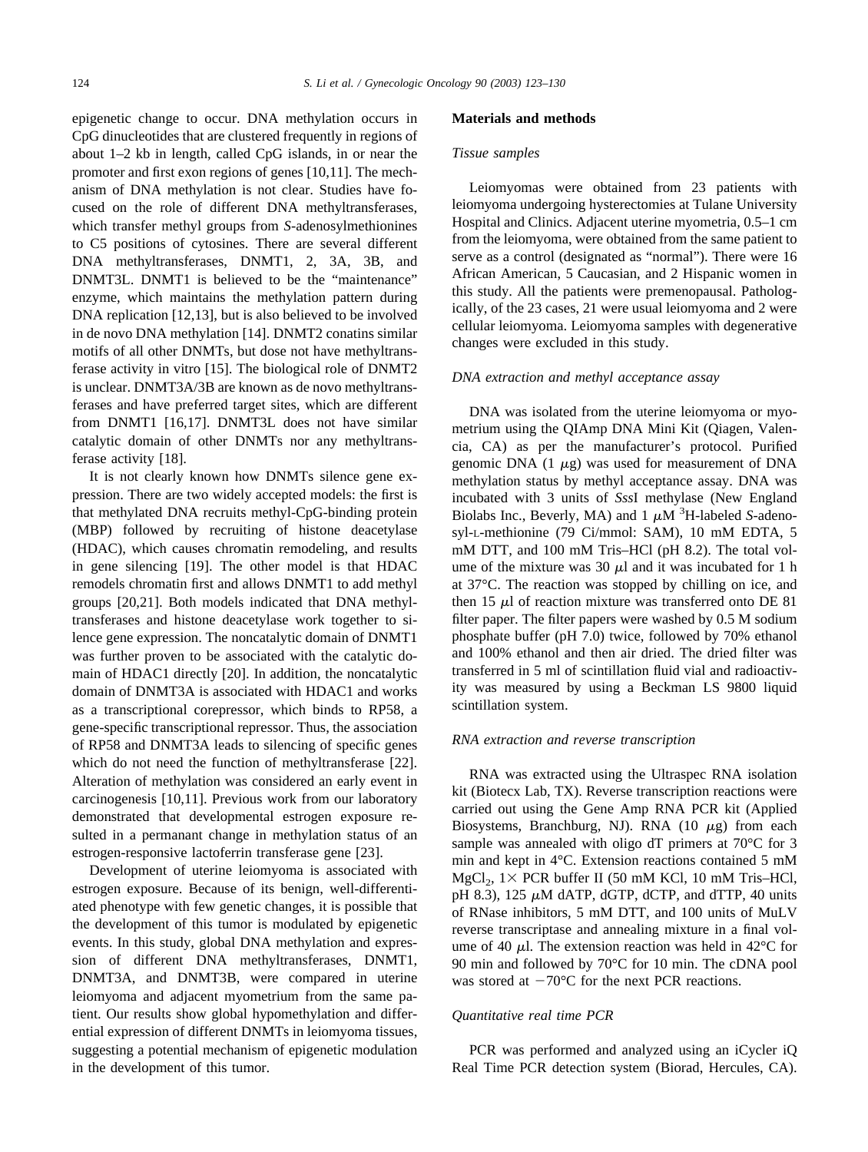epigenetic change to occur. DNA methylation occurs in CpG dinucleotides that are clustered frequently in regions of about 1–2 kb in length, called CpG islands, in or near the promoter and first exon regions of genes [\[10,11\]](#page-6-0). The mechanism of DNA methylation is not clear. Studies have focused on the role of different DNA methyltransferases, which transfer methyl groups from *S*-adenosylmethionines to C5 positions of cytosines. There are several different DNA methyltransferases, DNMT1, 2, 3A, 3B, and DNMT3L. DNMT1 is believed to be the "maintenance" enzyme, which maintains the methylation pattern during DNA replication [\[12,13\],](#page-6-0) but is also believed to be involved in de novo DNA methylation [\[14\]](#page-6-0). DNMT2 conatins similar motifs of all other DNMTs, but dose not have methyltransferase activity in vitro [\[15\]](#page-6-0). The biological role of DNMT2 is unclear. DNMT3A/3B are known as de novo methyltransferases and have preferred target sites, which are different from DNMT1 [\[16,17\].](#page-6-0) DNMT3L does not have similar catalytic domain of other DNMTs nor any methyltransferase activity [\[18\]](#page-6-0).

It is not clearly known how DNMTs silence gene expression. There are two widely accepted models: the first is that methylated DNA recruits methyl-CpG-binding protein (MBP) followed by recruiting of histone deacetylase (HDAC), which causes chromatin remodeling, and results in gene silencing [\[19\]](#page-6-0). The other model is that HDAC remodels chromatin first and allows DNMT1 to add methyl groups [\[20,21\].](#page-6-0) Both models indicated that DNA methyltransferases and histone deacetylase work together to silence gene expression. The noncatalytic domain of DNMT1 was further proven to be associated with the catalytic domain of HDAC1 directly [\[20\].](#page-6-0) In addition, the noncatalytic domain of DNMT3A is associated with HDAC1 and works as a transcriptional corepressor, which binds to RP58, a gene-specific transcriptional repressor. Thus, the association of RP58 and DNMT3A leads to silencing of specific genes which do not need the function of methyltransferase [\[22\].](#page-6-0) Alteration of methylation was considered an early event in carcinogenesis [\[10,11\].](#page-6-0) Previous work from our laboratory demonstrated that developmental estrogen exposure resulted in a permanant change in methylation status of an estrogen-responsive lactoferrin transferase gene [\[23\].](#page-6-0)

Development of uterine leiomyoma is associated with estrogen exposure. Because of its benign, well-differentiated phenotype with few genetic changes, it is possible that the development of this tumor is modulated by epigenetic events. In this study, global DNA methylation and expression of different DNA methyltransferases, DNMT1, DNMT3A, and DNMT3B, were compared in uterine leiomyoma and adjacent myometrium from the same patient. Our results show global hypomethylation and differential expression of different DNMTs in leiomyoma tissues, suggesting a potential mechanism of epigenetic modulation in the development of this tumor.

#### **Materials and methods**

# *Tissue samples*

Leiomyomas were obtained from 23 patients with leiomyoma undergoing hysterectomies at Tulane University Hospital and Clinics. Adjacent uterine myometria, 0.5–1 cm from the leiomyoma, were obtained from the same patient to serve as a control (designated as "normal"). There were 16 African American, 5 Caucasian, and 2 Hispanic women in this study. All the patients were premenopausal. Pathologically, of the 23 cases, 21 were usual leiomyoma and 2 were cellular leiomyoma. Leiomyoma samples with degenerative changes were excluded in this study.

## *DNA extraction and methyl acceptance assay*

DNA was isolated from the uterine leiomyoma or myometrium using the QIAmp DNA Mini Kit (Qiagen, Valencia, CA) as per the manufacturer's protocol. Purified genomic DNA  $(1 \mu g)$  was used for measurement of DNA methylation status by methyl acceptance assay. DNA was incubated with 3 units of *Sss*I methylase (New England Biolabs Inc., Beverly, MA) and  $1 \mu M$ <sup>3</sup>H-labeled *S*-adenosyl-L-methionine (79 Ci/mmol: SAM), 10 mM EDTA, 5 mM DTT, and 100 mM Tris–HCl (pH 8.2). The total volume of the mixture was 30  $\mu$ l and it was incubated for 1 h at 37°C. The reaction was stopped by chilling on ice, and then 15  $\mu$ l of reaction mixture was transferred onto DE 81 filter paper. The filter papers were washed by 0.5 M sodium phosphate buffer (pH 7.0) twice, followed by 70% ethanol and 100% ethanol and then air dried. The dried filter was transferred in 5 ml of scintillation fluid vial and radioactivity was measured by using a Beckman LS 9800 liquid scintillation system.

#### *RNA extraction and reverse transcription*

RNA was extracted using the Ultraspec RNA isolation kit (Biotecx Lab, TX). Reverse transcription reactions were carried out using the Gene Amp RNA PCR kit (Applied Biosystems, Branchburg, NJ). RNA  $(10 \mu g)$  from each sample was annealed with oligo dT primers at 70°C for 3 min and kept in 4°C. Extension reactions contained 5 mM  $MgCl<sub>2</sub>$ , 1 × PCR buffer II (50 mM KCl, 10 mM Tris–HCl, pH 8.3), 125  $\mu$ M dATP, dGTP, dCTP, and dTTP, 40 units of RNase inhibitors, 5 mM DTT, and 100 units of MuLV reverse transcriptase and annealing mixture in a final volume of 40  $\mu$ l. The extension reaction was held in 42 $\degree$ C for 90 min and followed by 70°C for 10 min. The cDNA pool was stored at  $-70^{\circ}$ C for the next PCR reactions.

### *Quantitative real time PCR*

PCR was performed and analyzed using an iCycler iQ Real Time PCR detection system (Biorad, Hercules, CA).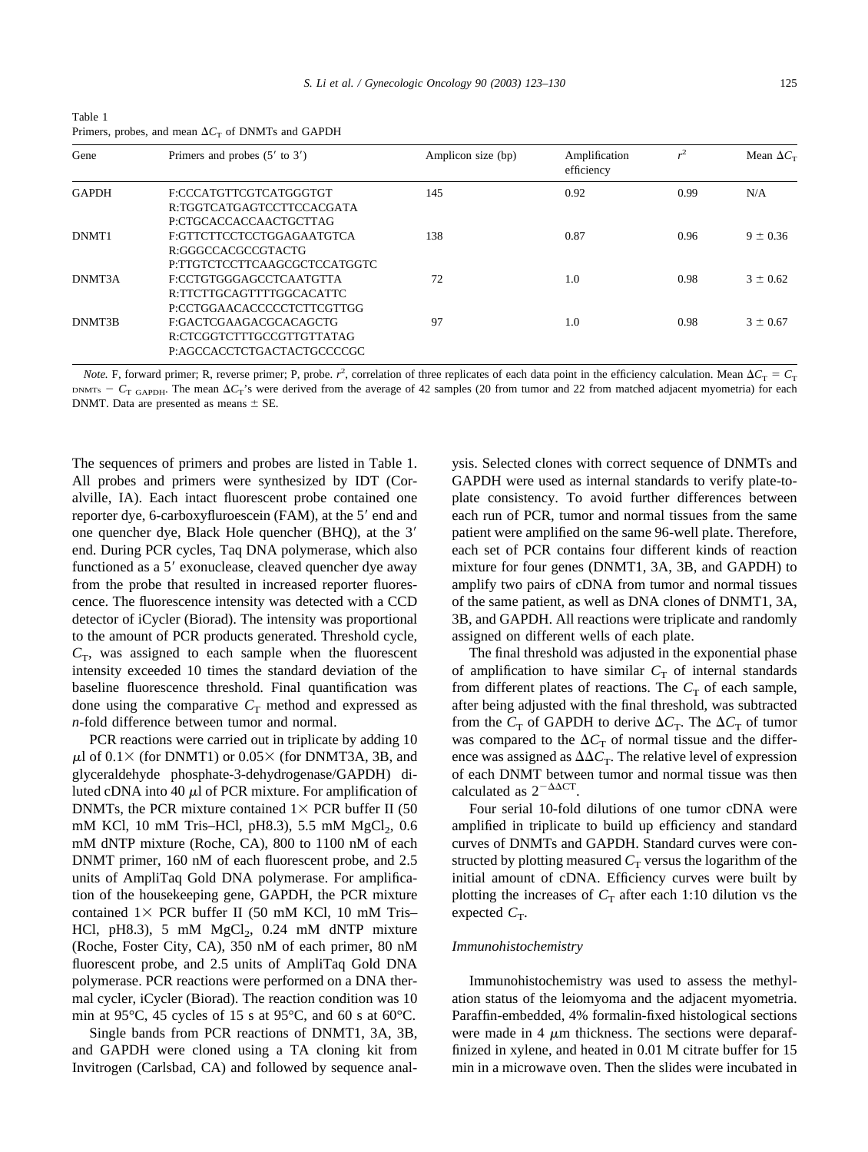<span id="page-2-0"></span>

| Table 1                                                         |  |
|-----------------------------------------------------------------|--|
| Primers, probes, and mean $\Delta C_{\rm T}$ of DNMTs and GAPDH |  |

| Gene         | Primers and probes $(5'$ to $3')$ | Amplicon size (bp) | Amplification<br>efficiency | $r^2$ | Mean $\Delta C_{\rm T}$ |
|--------------|-----------------------------------|--------------------|-----------------------------|-------|-------------------------|
| <b>GAPDH</b> | F:CCCATGTTCGTCATGGGTGT            | 145                | 0.92                        | 0.99  | N/A                     |
|              | R:TGGTCATGAGTCCTTCCACGATA         |                    |                             |       |                         |
|              | P:CTGCACCACCAACTGCTTAG            |                    |                             |       |                         |
| DNMT1        | F:GTTCTTCCTCCTGGAGAATGTCA         | 138                | 0.87                        | 0.96  | $9 \pm 0.36$            |
|              | R:GGGCCACGCCGTACTG                |                    |                             |       |                         |
|              | P:TTGTCTCCTTCAAGCGCTCCATGGTC      |                    |                             |       |                         |
| DNMT3A       | F:CCTGTGGGAGCCTCAATGTTA           | 72                 | 1.0                         | 0.98  | $3 \pm 0.62$            |
|              | R:TTCTTGCAGTTTTGGCACATTC          |                    |                             |       |                         |
|              | P:CCTGGAACACCCCCTCTTCGTTGG        |                    |                             |       |                         |
| DNMT3B       | F:GACTCGAAGACGCACAGCTG            | 97                 | 1.0                         | 0.98  | $3 \pm 0.67$            |
|              | R:CTCGGTCTTTGCCGTTGTTATAG         |                    |                             |       |                         |
|              | P:AGCCACCTCTGACTACTGCCCCGC        |                    |                             |       |                         |
|              |                                   |                    |                             |       |                         |

*Note.* F, forward primer; R, reverse primer; P, probe.  $r^2$ , correlation of three replicates of each data point in the efficiency calculation. Mean  $\Delta C_T = C_T$ DNMTs –  $C_{\text{T GAPDH}}$ . The mean  $\Delta C_{\text{T}}$ 's were derived from the average of 42 samples (20 from tumor and 22 from matched adjacent myometria) for each DNMT. Data are presented as means  $\pm$  SE.

The sequences of primers and probes are listed in Table 1. All probes and primers were synthesized by IDT (Coralville, IA). Each intact fluorescent probe contained one reporter dye, 6-carboxyfluroescein (FAM), at the 5' end and one quencher dye, Black Hole quencher (BHQ), at the 3 end. During PCR cycles, Taq DNA polymerase, which also functioned as a 5' exonuclease, cleaved quencher dye away from the probe that resulted in increased reporter fluorescence. The fluorescence intensity was detected with a CCD detector of iCycler (Biorad). The intensity was proportional to the amount of PCR products generated. Threshold cycle,  $C_T$ , was assigned to each sample when the fluorescent intensity exceeded 10 times the standard deviation of the baseline fluorescence threshold. Final quantification was done using the comparative  $C_T$  method and expressed as *n*-fold difference between tumor and normal.

PCR reactions were carried out in triplicate by adding 10  $\mu$ l of 0.1 \times (for DNMT1) or 0.05 \times (for DNMT3A, 3B, and glyceraldehyde phosphate-3-dehydrogenase/GAPDH) diluted cDNA into 40  $\mu$ l of PCR mixture. For amplification of DNMTs, the PCR mixture contained  $1 \times PCR$  buffer II (50) mM KCl, 10 mM Tris–HCl, pH8.3), 5.5 mM  $MgCl_2$ , 0.6 mM dNTP mixture (Roche, CA), 800 to 1100 nM of each DNMT primer, 160 nM of each fluorescent probe, and 2.5 units of AmpliTaq Gold DNA polymerase. For amplification of the housekeeping gene, GAPDH, the PCR mixture contained  $1 \times$  PCR buffer II (50 mM KCl, 10 mM Tris– HCl, pH8.3), 5 mM  $MgCl<sub>2</sub>$ , 0.24 mM dNTP mixture (Roche, Foster City, CA), 350 nM of each primer, 80 nM fluorescent probe, and 2.5 units of AmpliTaq Gold DNA polymerase. PCR reactions were performed on a DNA thermal cycler, iCycler (Biorad). The reaction condition was 10 min at 95°C, 45 cycles of 15 s at 95°C, and 60 s at 60°C.

Single bands from PCR reactions of DNMT1, 3A, 3B, and GAPDH were cloned using a TA cloning kit from Invitrogen (Carlsbad, CA) and followed by sequence analysis. Selected clones with correct sequence of DNMTs and GAPDH were used as internal standards to verify plate-toplate consistency. To avoid further differences between each run of PCR, tumor and normal tissues from the same patient were amplified on the same 96-well plate. Therefore, each set of PCR contains four different kinds of reaction mixture for four genes (DNMT1, 3A, 3B, and GAPDH) to amplify two pairs of cDNA from tumor and normal tissues of the same patient, as well as DNA clones of DNMT1, 3A, 3B, and GAPDH. All reactions were triplicate and randomly assigned on different wells of each plate.

The final threshold was adjusted in the exponential phase of amplification to have similar  $C_T$  of internal standards from different plates of reactions. The  $C<sub>T</sub>$  of each sample, after being adjusted with the final threshold, was subtracted from the  $C_T$  of GAPDH to derive  $\Delta C_T$ . The  $\Delta C_T$  of tumor was compared to the  $\Delta C_T$  of normal tissue and the difference was assigned as  $\Delta \Delta C_T$ . The relative level of expression of each DNMT between tumor and normal tissue was then calculated as  $2^{-\Delta\Delta CT}$ .

Four serial 10-fold dilutions of one tumor cDNA were amplified in triplicate to build up efficiency and standard curves of DNMTs and GAPDH. Standard curves were constructed by plotting measured  $C<sub>T</sub>$  versus the logarithm of the initial amount of cDNA. Efficiency curves were built by plotting the increases of  $C<sub>T</sub>$  after each 1:10 dilution vs the expected  $C_T$ .

#### *Immunohistochemistry*

Immunohistochemistry was used to assess the methylation status of the leiomyoma and the adjacent myometria. Paraffin-embedded, 4% formalin-fixed histological sections were made in 4  $\mu$ m thickness. The sections were deparaffinized in xylene, and heated in 0.01 M citrate buffer for 15 min in a microwave oven. Then the slides were incubated in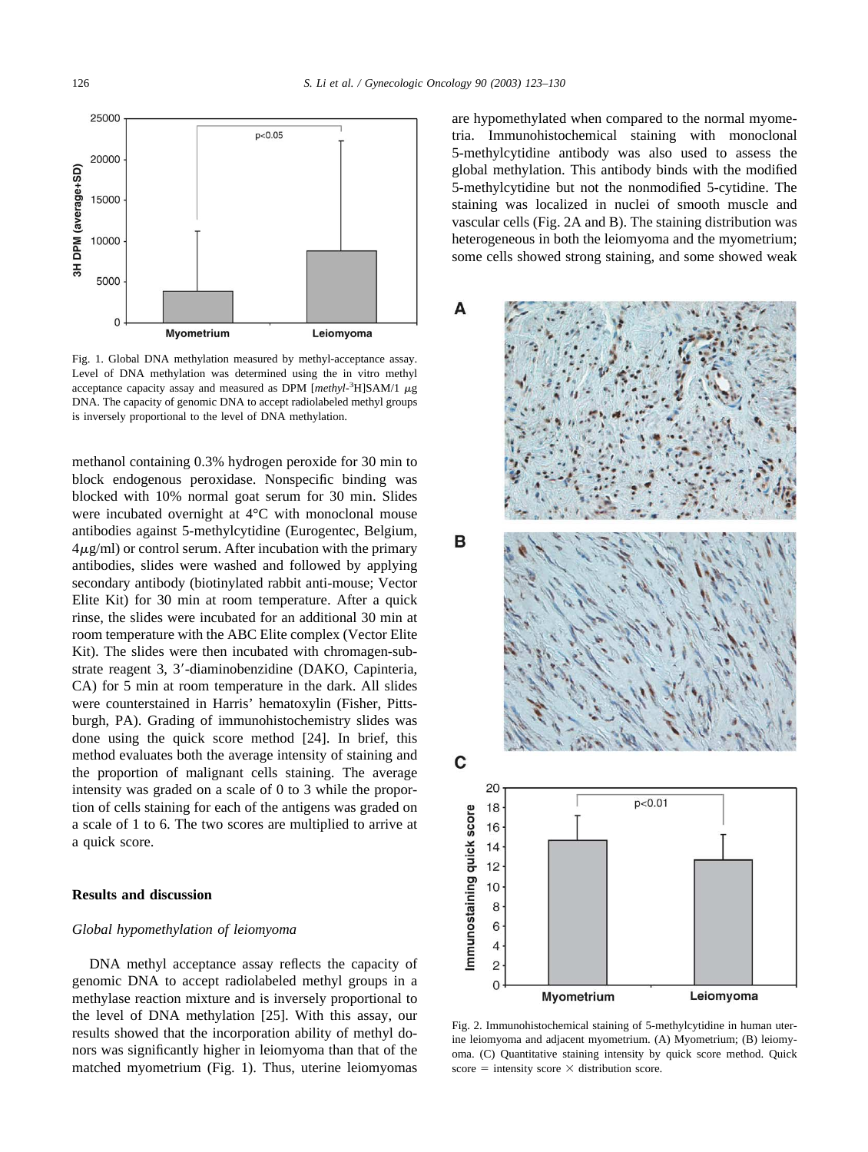<span id="page-3-0"></span>

Fig. 1. Global DNA methylation measured by methyl-acceptance assay. Level of DNA methylation was determined using the in vitro methyl acceptance capacity assay and measured as DPM  $[methyl<sup>3</sup>H] SAM/1$   $\mu$ g DNA. The capacity of genomic DNA to accept radiolabeled methyl groups is inversely proportional to the level of DNA methylation.

methanol containing 0.3% hydrogen peroxide for 30 min to block endogenous peroxidase. Nonspecific binding was blocked with 10% normal goat serum for 30 min. Slides were incubated overnight at 4°C with monoclonal mouse antibodies against 5-methylcytidine (Eurogentec, Belgium,  $4\mu$ g/ml) or control serum. After incubation with the primary antibodies, slides were washed and followed by applying secondary antibody (biotinylated rabbit anti-mouse; Vector Elite Kit) for 30 min at room temperature. After a quick rinse, the slides were incubated for an additional 30 min at room temperature with the ABC Elite complex (Vector Elite Kit). The slides were then incubated with chromagen-substrate reagent 3, 3-diaminobenzidine (DAKO, Capinteria, CA) for 5 min at room temperature in the dark. All slides were counterstained in Harris' hematoxylin (Fisher, Pittsburgh, PA). Grading of immunohistochemistry slides was done using the quick score method [\[24\].](#page-6-0) In brief, this method evaluates both the average intensity of staining and the proportion of malignant cells staining. The average intensity was graded on a scale of 0 to 3 while the proportion of cells staining for each of the antigens was graded on a scale of 1 to 6. The two scores are multiplied to arrive at a quick score.

## **Results and discussion**

## *Global hypomethylation of leiomyoma*

DNA methyl acceptance assay reflects the capacity of genomic DNA to accept radiolabeled methyl groups in a methylase reaction mixture and is inversely proportional to the level of DNA methylation [\[25\]](#page-6-0). With this assay, our results showed that the incorporation ability of methyl donors was significantly higher in leiomyoma than that of the matched myometrium (Fig. 1). Thus, uterine leiomyomas are hypomethylated when compared to the normal myometria. Immunohistochemical staining with monoclonal 5-methylcytidine antibody was also used to assess the global methylation. This antibody binds with the modified 5-methylcytidine but not the nonmodified 5-cytidine. The staining was localized in nuclei of smooth muscle and vascular cells (Fig. 2A and B). The staining distribution was heterogeneous in both the leiomyoma and the myometrium; some cells showed strong staining, and some showed weak



Fig. 2. Immunohistochemical staining of 5-methylcytidine in human uterine leiomyoma and adjacent myometrium. (A) Myometrium; (B) leiomyoma. (C) Quantitative staining intensity by quick score method. Quick score  $=$  intensity score  $\times$  distribution score.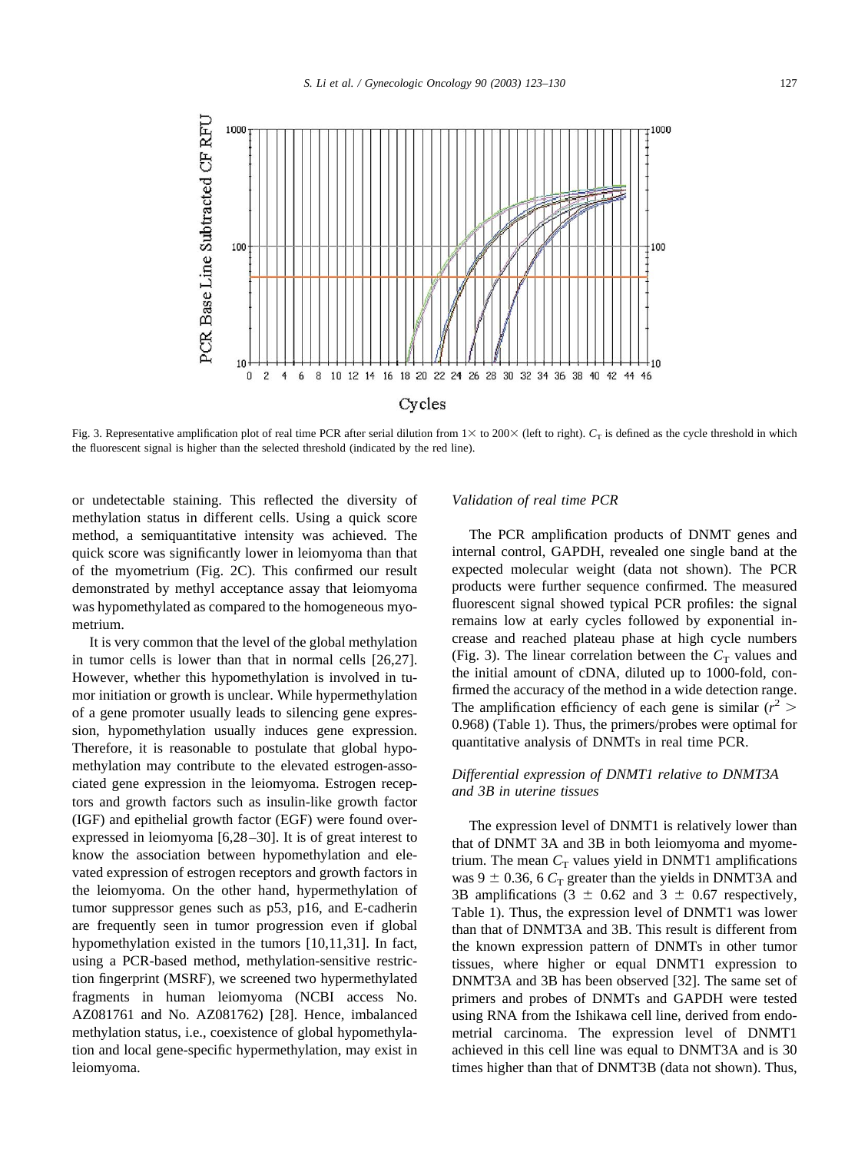

Fig. 3. Representative amplification plot of real time PCR after serial dilution from  $1 \times$  to 200 $\times$  (left to right).  $C_T$  is defined as the cycle threshold in which the fluorescent signal is higher than the selected threshold (indicated by the red line).

or undetectable staining. This reflected the diversity of methylation status in different cells. Using a quick score method, a semiquantitative intensity was achieved. The quick score was significantly lower in leiomyoma than that of the myometrium ([Fig. 2C\)](#page-3-0). This confirmed our result demonstrated by methyl acceptance assay that leiomyoma was hypomethylated as compared to the homogeneous myometrium.

It is very common that the level of the global methylation in tumor cells is lower than that in normal cells [\[26,27\].](#page-6-0) However, whether this hypomethylation is involved in tumor initiation or growth is unclear. While hypermethylation of a gene promoter usually leads to silencing gene expression, hypomethylation usually induces gene expression. Therefore, it is reasonable to postulate that global hypomethylation may contribute to the elevated estrogen-associated gene expression in the leiomyoma. Estrogen receptors and growth factors such as insulin-like growth factor (IGF) and epithelial growth factor (EGF) were found overexpressed in leiomyoma [\[6,28–30\].](#page-6-0) It is of great interest to know the association between hypomethylation and elevated expression of estrogen receptors and growth factors in the leiomyoma. On the other hand, hypermethylation of tumor suppressor genes such as p53, p16, and E-cadherin are frequently seen in tumor progression even if global hypomethylation existed in the tumors [\[10,11,31\]](#page-6-0). In fact, using a PCR-based method, methylation-sensitive restriction fingerprint (MSRF), we screened two hypermethylated fragments in human leiomyoma (NCBI access No. AZ081761 and No. AZ081762) [\[28\]](#page-6-0). Hence, imbalanced methylation status, i.e., coexistence of global hypomethylation and local gene-specific hypermethylation, may exist in leiomyoma.

#### *Validation of real time PCR*

The PCR amplification products of DNMT genes and internal control, GAPDH, revealed one single band at the expected molecular weight (data not shown). The PCR products were further sequence confirmed. The measured fluorescent signal showed typical PCR profiles: the signal remains low at early cycles followed by exponential increase and reached plateau phase at high cycle numbers (Fig. 3). The linear correlation between the  $C_T$  values and the initial amount of cDNA, diluted up to 1000-fold, confirmed the accuracy of the method in a wide detection range. The amplification efficiency of each gene is similar  $(r^2)$ 0.968) ([Table 1](#page-2-0)). Thus, the primers/probes were optimal for quantitative analysis of DNMTs in real time PCR.

## *Differential expression of DNMT1 relative to DNMT3A and 3B in uterine tissues*

The expression level of DNMT1 is relatively lower than that of DNMT 3A and 3B in both leiomyoma and myometrium. The mean  $C_T$  values yield in DNMT1 amplifications was 9  $\pm$  0.36, 6  $C_T$  greater than the yields in DNMT3A and 3B amplifications (3  $\pm$  0.62 and 3  $\pm$  0.67 respectively, [Table 1](#page-2-0)). Thus, the expression level of DNMT1 was lower than that of DNMT3A and 3B. This result is different from the known expression pattern of DNMTs in other tumor tissues, where higher or equal DNMT1 expression to DNMT3A and 3B has been observed [\[32\]](#page-7-0). The same set of primers and probes of DNMTs and GAPDH were tested using RNA from the Ishikawa cell line, derived from endometrial carcinoma. The expression level of DNMT1 achieved in this cell line was equal to DNMT3A and is 30 times higher than that of DNMT3B (data not shown). Thus,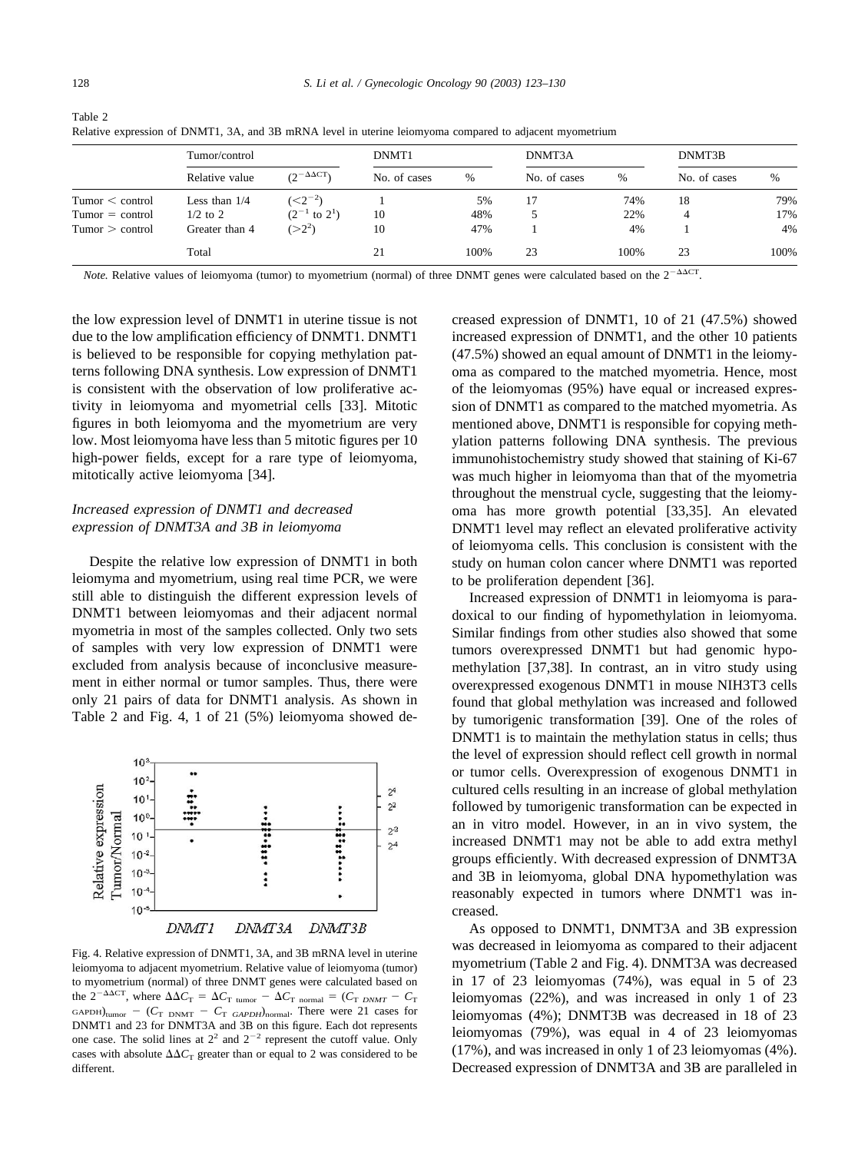Table 2

|                   | Tumor/control   |                        | DNMT1        |      | DNMT3A       |      | DNMT3B       |               |
|-------------------|-----------------|------------------------|--------------|------|--------------|------|--------------|---------------|
|                   | Relative value  | $(2^{-\Delta\Delta}C)$ | No. of cases | %    | No. of cases | $\%$ | No. of cases | $\frac{0}{0}$ |
| Tumor < control   | Less than $1/4$ | $(<,2^{-2})$           |              | 5%   | 17           | 74%  | 18           | 79%           |
| $Tumor = control$ | $1/2$ to 2      | $(2^{-1}$ to $2^1)$    | 10           | 48%  |              | 22%  | 4            | 17%           |
| Tumor > control   | Greater than 4  | $(>2^2)$               | 10           | 47%  |              | 4%   |              | 4%            |
|                   | Total           |                        | 21           | 100% | 23           | 100% | 23           | 100%          |

Relative expression of DNMT1, 3A, and 3B mRNA level in uterine leiomyoma compared to adjacent myometrium

*Note.* Relative values of leiomyoma (tumor) to myometrium (normal) of three DNMT genes were calculated based on the  $2^{-\Delta\Delta CT}$ .

the low expression level of DNMT1 in uterine tissue is not due to the low amplification efficiency of DNMT1. DNMT1 is believed to be responsible for copying methylation patterns following DNA synthesis. Low expression of DNMT1 is consistent with the observation of low proliferative activity in leiomyoma and myometrial cells [\[33\].](#page-7-0) Mitotic figures in both leiomyoma and the myometrium are very low. Most leiomyoma have less than 5 mitotic figures per 10 high-power fields, except for a rare type of leiomyoma, mitotically active leiomyoma [\[34\]](#page-7-0).

# *Increased expression of DNMT1 and decreased expression of DNMT3A and 3B in leiomyoma*

Despite the relative low expression of DNMT1 in both leiomyma and myometrium, using real time PCR, we were still able to distinguish the different expression levels of DNMT1 between leiomyomas and their adjacent normal myometria in most of the samples collected. Only two sets of samples with very low expression of DNMT1 were excluded from analysis because of inconclusive measurement in either normal or tumor samples. Thus, there were only 21 pairs of data for DNMT1 analysis. As shown in Table 2 and Fig. 4, 1 of 21 (5%) leiomyoma showed de-



Fig. 4. Relative expression of DNMT1, 3A, and 3B mRNA level in uterine leiomyoma to adjacent myometrium. Relative value of leiomyoma (tumor) to myometrium (normal) of three DNMT genes were calculated based on the  $2^{-\Delta\Delta CT}$ , where  $\Delta\Delta C_{\text{T}} = \Delta C_{\text{T} \text{ tumor}} - \Delta C_{\text{T} \text{normal}} = (C_{\text{T} \text{DMMT}} - C_{\text{T}})$  $GAPDH)_{tumor}$  – ( $C_T$  DNMT –  $C_T$  *GAPDH*)<sub>normal</sub>. There were 21 cases for DNMT1 and 23 for DNMT3A and 3B on this figure. Each dot represents one case. The solid lines at  $2^2$  and  $2^{-2}$  represent the cutoff value. Only cases with absolute  $\Delta \Delta C_T$  greater than or equal to 2 was considered to be different.

creased expression of DNMT1, 10 of 21 (47.5%) showed increased expression of DNMT1, and the other 10 patients (47.5%) showed an equal amount of DNMT1 in the leiomyoma as compared to the matched myometria. Hence, most of the leiomyomas (95%) have equal or increased expression of DNMT1 as compared to the matched myometria. As mentioned above, DNMT1 is responsible for copying methylation patterns following DNA synthesis. The previous immunohistochemistry study showed that staining of Ki-67 was much higher in leiomyoma than that of the myometria throughout the menstrual cycle, suggesting that the leiomyoma has more growth potential [\[33,35\]](#page-7-0). An elevated DNMT1 level may reflect an elevated proliferative activity of leiomyoma cells. This conclusion is consistent with the study on human colon cancer where DNMT1 was reported to be proliferation dependent [\[36\]](#page-7-0).

Increased expression of DNMT1 in leiomyoma is paradoxical to our finding of hypomethylation in leiomyoma. Similar findings from other studies also showed that some tumors overexpressed DNMT1 but had genomic hypomethylation [\[37,38\].](#page-7-0) In contrast, an in vitro study using overexpressed exogenous DNMT1 in mouse NIH3T3 cells found that global methylation was increased and followed by tumorigenic transformation [\[39\].](#page-7-0) One of the roles of DNMT1 is to maintain the methylation status in cells; thus the level of expression should reflect cell growth in normal or tumor cells. Overexpression of exogenous DNMT1 in cultured cells resulting in an increase of global methylation followed by tumorigenic transformation can be expected in an in vitro model. However, in an in vivo system, the increased DNMT1 may not be able to add extra methyl groups efficiently. With decreased expression of DNMT3A and 3B in leiomyoma, global DNA hypomethylation was reasonably expected in tumors where DNMT1 was increased.

As opposed to DNMT1, DNMT3A and 3B expression was decreased in leiomyoma as compared to their adjacent myometrium (Table 2 and Fig. 4). DNMT3A was decreased in 17 of 23 leiomyomas (74%), was equal in 5 of 23 leiomyomas (22%), and was increased in only 1 of 23 leiomyomas (4%); DNMT3B was decreased in 18 of 23 leiomyomas (79%), was equal in 4 of 23 leiomyomas (17%), and was increased in only 1 of 23 leiomyomas (4%). Decreased expression of DNMT3A and 3B are paralleled in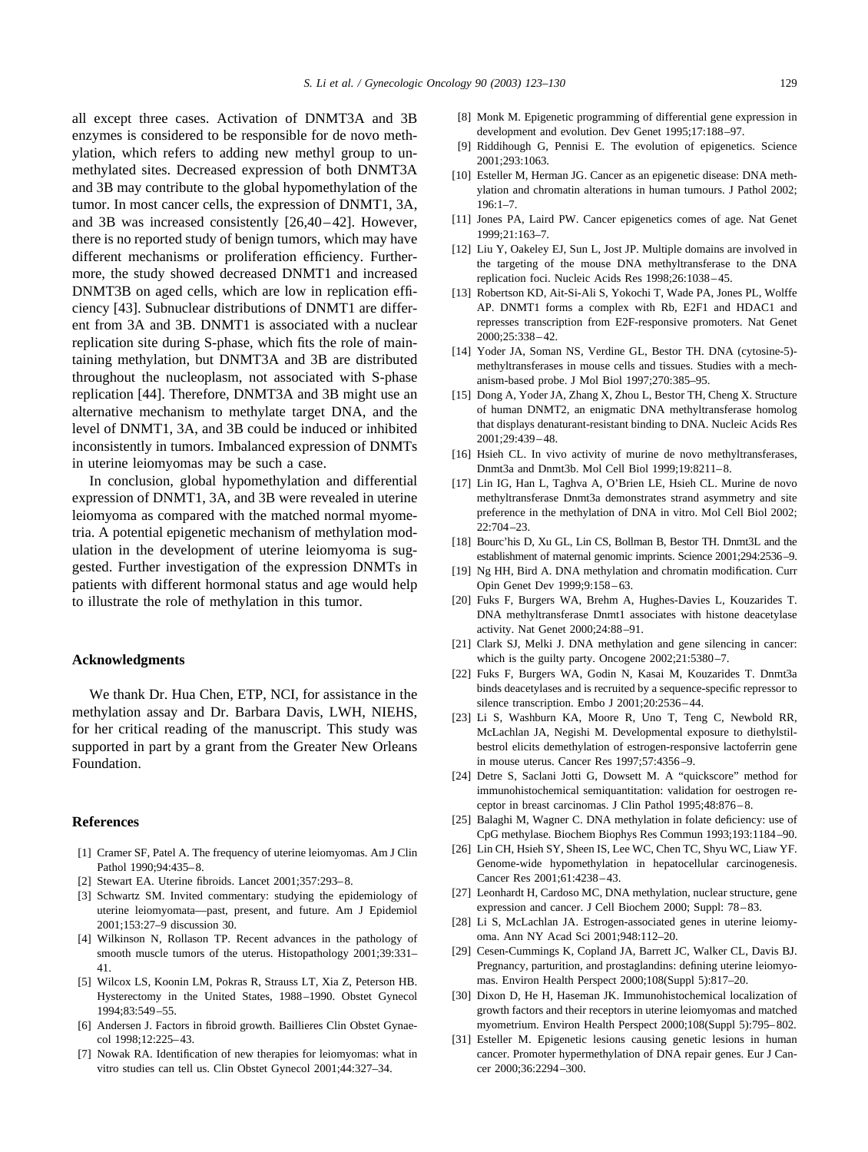<span id="page-6-0"></span>all except three cases. Activation of DNMT3A and 3B enzymes is considered to be responsible for de novo methylation, which refers to adding new methyl group to unmethylated sites. Decreased expression of both DNMT3A and 3B may contribute to the global hypomethylation of the tumor. In most cancer cells, the expression of DNMT1, 3A, and 3B was increased consistently [26,40–42]. However, there is no reported study of benign tumors, which may have different mechanisms or proliferation efficiency. Furthermore, the study showed decreased DNMT1 and increased DNMT3B on aged cells, which are low in replication efficiency [\[43\].](#page-7-0) Subnuclear distributions of DNMT1 are different from 3A and 3B. DNMT1 is associated with a nuclear replication site during S-phase, which fits the role of maintaining methylation, but DNMT3A and 3B are distributed throughout the nucleoplasm, not associated with S-phase replication [\[44\]](#page-7-0). Therefore, DNMT3A and 3B might use an alternative mechanism to methylate target DNA, and the level of DNMT1, 3A, and 3B could be induced or inhibited inconsistently in tumors. Imbalanced expression of DNMTs in uterine leiomyomas may be such a case.

In conclusion, global hypomethylation and differential expression of DNMT1, 3A, and 3B were revealed in uterine leiomyoma as compared with the matched normal myometria. A potential epigenetic mechanism of methylation modulation in the development of uterine leiomyoma is suggested. Further investigation of the expression DNMTs in patients with different hormonal status and age would help to illustrate the role of methylation in this tumor.

#### **Acknowledgments**

We thank Dr. Hua Chen, ETP, NCI, for assistance in the methylation assay and Dr. Barbara Davis, LWH, NIEHS, for her critical reading of the manuscript. This study was supported in part by a grant from the Greater New Orleans Foundation.

#### **References**

- [1] Cramer SF, Patel A. The frequency of uterine leiomyomas. Am J Clin Pathol 1990;94:435–8.
- [2] Stewart EA. Uterine fibroids. Lancet 2001;357:293–8.
- [3] Schwartz SM. Invited commentary: studying the epidemiology of uterine leiomyomata—past, present, and future. Am J Epidemiol 2001;153:27–9 discussion 30.
- [4] Wilkinson N, Rollason TP. Recent advances in the pathology of smooth muscle tumors of the uterus. Histopathology 2001;39:331– 41.
- [5] Wilcox LS, Koonin LM, Pokras R, Strauss LT, Xia Z, Peterson HB. Hysterectomy in the United States, 1988–1990. Obstet Gynecol 1994;83:549–55.
- [6] Andersen J. Factors in fibroid growth. Baillieres Clin Obstet Gynaecol 1998;12:225–43.
- [7] Nowak RA. Identification of new therapies for leiomyomas: what in vitro studies can tell us. Clin Obstet Gynecol 2001;44:327–34.
- [8] Monk M. Epigenetic programming of differential gene expression in development and evolution. Dev Genet 1995;17:188–97.
- [9] Riddihough G, Pennisi E. The evolution of epigenetics. Science 2001;293:1063.
- [10] Esteller M, Herman JG. Cancer as an epigenetic disease: DNA methylation and chromatin alterations in human tumours. J Pathol 2002; 196:1–7.
- [11] Jones PA, Laird PW. Cancer epigenetics comes of age. Nat Genet 1999;21:163–7.
- [12] Liu Y, Oakeley EJ, Sun L, Jost JP. Multiple domains are involved in the targeting of the mouse DNA methyltransferase to the DNA replication foci. Nucleic Acids Res 1998;26:1038–45.
- [13] Robertson KD, Ait-Si-Ali S, Yokochi T, Wade PA, Jones PL, Wolffe AP. DNMT1 forms a complex with Rb, E2F1 and HDAC1 and represses transcription from E2F-responsive promoters. Nat Genet 2000;25:338–42.
- [14] Yoder JA, Soman NS, Verdine GL, Bestor TH. DNA (cytosine-5) methyltransferases in mouse cells and tissues. Studies with a mechanism-based probe. J Mol Biol 1997;270:385–95.
- [15] Dong A, Yoder JA, Zhang X, Zhou L, Bestor TH, Cheng X. Structure of human DNMT2, an enigmatic DNA methyltransferase homolog that displays denaturant-resistant binding to DNA. Nucleic Acids Res 2001;29:439–48.
- [16] Hsieh CL. In vivo activity of murine de novo methyltransferases, Dnmt3a and Dnmt3b. Mol Cell Biol 1999;19:8211–8.
- [17] Lin IG, Han L, Taghva A, O'Brien LE, Hsieh CL. Murine de novo methyltransferase Dnmt3a demonstrates strand asymmetry and site preference in the methylation of DNA in vitro. Mol Cell Biol 2002; 22:704–23.
- [18] Bourc'his D, Xu GL, Lin CS, Bollman B, Bestor TH. Dnmt3L and the establishment of maternal genomic imprints. Science 2001;294:2536–9.
- [19] Ng HH, Bird A. DNA methylation and chromatin modification. Curr Opin Genet Dev 1999;9:158–63.
- [20] Fuks F, Burgers WA, Brehm A, Hughes-Davies L, Kouzarides T. DNA methyltransferase Dnmt1 associates with histone deacetylase activity. Nat Genet 2000;24:88–91.
- [21] Clark SJ, Melki J. DNA methylation and gene silencing in cancer: which is the guilty party. Oncogene 2002;21:5380–7.
- [22] Fuks F, Burgers WA, Godin N, Kasai M, Kouzarides T. Dnmt3a binds deacetylases and is recruited by a sequence-specific repressor to silence transcription. Embo J 2001;20:2536–44.
- [23] Li S, Washburn KA, Moore R, Uno T, Teng C, Newbold RR, McLachlan JA, Negishi M. Developmental exposure to diethylstilbestrol elicits demethylation of estrogen-responsive lactoferrin gene in mouse uterus. Cancer Res 1997;57:4356–9.
- [24] Detre S, Saclani Jotti G, Dowsett M. A "quickscore" method for immunohistochemical semiquantitation: validation for oestrogen receptor in breast carcinomas. J Clin Pathol 1995;48:876–8.
- [25] Balaghi M, Wagner C. DNA methylation in folate deficiency: use of CpG methylase. Biochem Biophys Res Commun 1993;193:1184–90.
- [26] Lin CH, Hsieh SY, Sheen IS, Lee WC, Chen TC, Shyu WC, Liaw YF. Genome-wide hypomethylation in hepatocellular carcinogenesis. Cancer Res 2001;61:4238–43.
- [27] Leonhardt H, Cardoso MC, DNA methylation, nuclear structure, gene expression and cancer. J Cell Biochem 2000; Suppl: 78–83.
- [28] Li S, McLachlan JA. Estrogen-associated genes in uterine leiomyoma. Ann NY Acad Sci 2001;948:112–20.
- [29] Cesen-Cummings K, Copland JA, Barrett JC, Walker CL, Davis BJ. Pregnancy, parturition, and prostaglandins: defining uterine leiomyomas. Environ Health Perspect 2000;108(Suppl 5):817–20.
- [30] Dixon D, He H, Haseman JK. Immunohistochemical localization of growth factors and their receptors in uterine leiomyomas and matched myometrium. Environ Health Perspect 2000;108(Suppl 5):795–802.
- [31] Esteller M. Epigenetic lesions causing genetic lesions in human cancer. Promoter hypermethylation of DNA repair genes. Eur J Cancer 2000;36:2294–300.